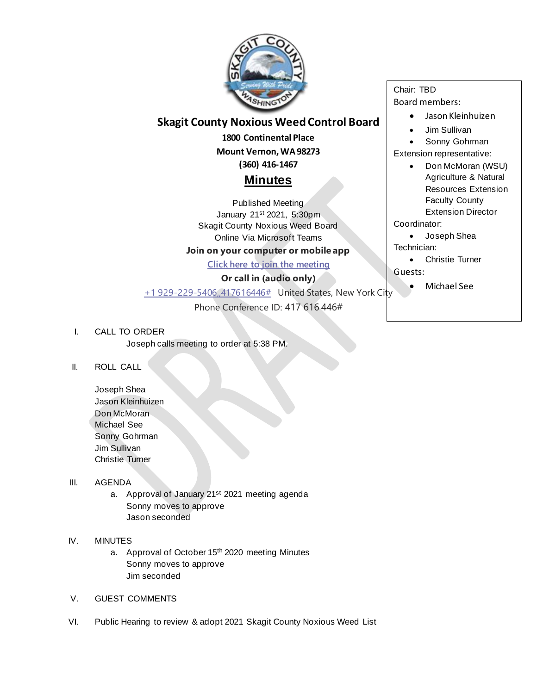

# **Skagit County Noxious Weed Control Board**

**1800 Continental Place Mount Vernon, WA 98273 (360) 416-1467**

# **Minutes**

Published Meeting January 21st 2021, 5:30pm Skagit County Noxious Weed Board Online Via Microsoft Teams

# **Join on your computer or mobile app**

**[Click here to join the meeting](https://teams.microsoft.com/l/meetup-join/19%3ameeting_ODdkZjQ1NTEtOGU3Ni00NzQ2LTgzNzktODY3ZDNmNmIzNzBi%40thread.v2/0?context=%7b%22Tid%22%3a%2279572502-f11c-4f30-b941-b7276048d3ce%22%2c%22Oid%22%3a%224a734cba-e51a-45a5-8408-cd8ced0e417c%22%7d)**

# **Or call in (audio only)**

[+1 929-229-5406,,417616446#](tel:+19292295406,,417616446# ) United States, New York City

Phone Conference ID: 417 616 446#

### I. CALL TO ORDER

Joseph calls meeting to order at 5:38 PM.

### II. ROLL CALL

Joseph Shea Jason Kleinhuizen Don McMoran Michael See Sonny Gohrman Jim Sullivan Christie Turner

### III. AGENDA

a. Approval of January 21<sup>st</sup> 2021 meeting agenda Sonny moves to approve Jason seconded

### IV. MINUTES

- a. Approval of October 15<sup>th</sup> 2020 meeting Minutes Sonny moves to approve Jim seconded
- V. GUEST COMMENTS
- VI. Public Hearing to review & adopt 2021 Skagit County Noxious Weed List

Chair: TBD Board members:

- Jason Kleinhuizen
- Jim Sullivan
- Sonny Gohrman

Extension representative:

• Don McMoran (WSU) Agriculture & Natural Resources Extension Faculty County Extension Director

Coordinator:

• Joseph Shea Technician:

• Christie Turner

Guests:

• Michael See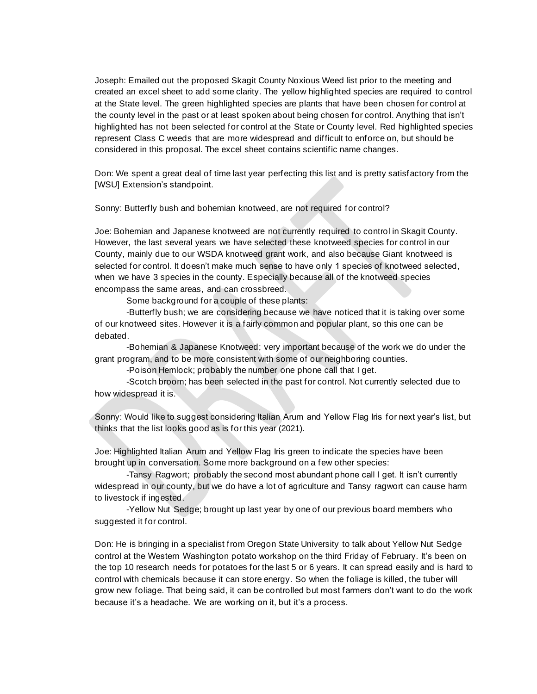Joseph: Emailed out the proposed Skagit County Noxious Weed list prior to the meeting and created an excel sheet to add some clarity. The yellow highlighted species are required to control at the State level. The green highlighted species are plants that have been chosen for control at the county level in the past or at least spoken about being chosen for control. Anything that isn't highlighted has not been selected for control at the State or County level. Red highlighted species represent Class C weeds that are more widespread and difficult to enforce on, but should be considered in this proposal. The excel sheet contains scientific name changes.

Don: We spent a great deal of time last year perfecting this list and is pretty satisfactory from the [WSU] Extension's standpoint.

Sonny: Butterfly bush and bohemian knotweed, are not required for control?

Joe: Bohemian and Japanese knotweed are not currently required to control in Skagit County. However, the last several years we have selected these knotweed species for control in our County, mainly due to our WSDA knotweed grant work, and also because Giant knotweed is selected for control. It doesn't make much sense to have only 1 species of knotweed selected, when we have 3 species in the county. Especially because all of the knotweed species encompass the same areas, and can crossbreed.

Some background for a couple of these plants:

-Butterfly bush; we are considering because we have noticed that it is taking over some of our knotweed sites. However it is a fairly common and popular plant, so this one can be debated.

-Bohemian & Japanese Knotweed; very important because of the work we do under the grant program, and to be more consistent with some of our neighboring counties.

-Poison Hemlock; probably the number one phone call that I get.

-Scotch broom; has been selected in the past for control. Not currently selected due to how widespread it is.

Sonny: Would like to suggest considering Italian Arum and Yellow Flag Iris for next year's list, but thinks that the list looks good as is for this year (2021).

Joe: Highlighted Italian Arum and Yellow Flag Iris green to indicate the species have been brought up in conversation. Some more background on a few other species:

-Tansy Ragwort; probably the second most abundant phone call I get. It isn't currently widespread in our county, but we do have a lot of agriculture and Tansy ragwort can cause harm to livestock if ingested.

-Yellow Nut Sedge; brought up last year by one of our previous board members who suggested it for control.

Don: He is bringing in a specialist from Oregon State University to talk about Yellow Nut Sedge control at the Western Washington potato workshop on the third Friday of February. It's been on the top 10 research needs for potatoes for the last 5 or 6 years. It can spread easily and is hard to control with chemicals because it can store energy. So when the foliage is killed, the tuber will grow new foliage. That being said, it can be controlled but most farmers don't want to do the work because it's a headache. We are working on it, but it's a process.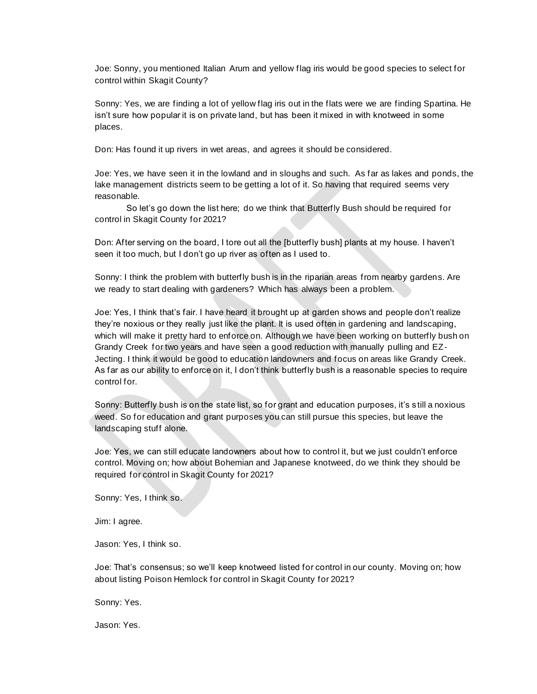Joe: Sonny, you mentioned Italian Arum and yellow flag iris would be good species to select for control within Skagit County?

Sonny: Yes, we are finding a lot of yellow flag iris out in the flats were we are finding Spartina. He isn't sure how popular it is on private land, but has been it mixed in with knotweed in some places.

Don: Has found it up rivers in wet areas, and agrees it should be considered.

Joe: Yes, we have seen it in the lowland and in sloughs and such. As far as lakes and ponds, the lake management districts seem to be getting a lot of it. So having that required seems very reasonable.

So let's go down the list here; do we think that Butterfly Bush should be required for control in Skagit County for 2021?

Don: After serving on the board, I tore out all the [butterfly bush] plants at my house. I haven't seen it too much, but I don't go up river as often as I used to.

Sonny: I think the problem with butterfly bush is in the riparian areas from nearby gardens. Are we ready to start dealing with gardeners? Which has always been a problem.

Joe: Yes, I think that's fair. I have heard it brought up at garden shows and people don't realize they're noxious or they really just like the plant. It is used often in gardening and landscaping, which will make it pretty hard to enforce on. Although we have been working on butterfly bush on Grandy Creek for two years and have seen a good reduction with manually pulling and EZ-Jecting. I think it would be good to education landowners and focus on areas like Grandy Creek. As far as our ability to enforce on it, I don't think butterfly bush is a reasonable species to require control for.

Sonny: Butterfly bush is on the state list, so for grant and education purposes, it's s till a noxious weed. So for education and grant purposes you can still pursue this species, but leave the landscaping stuff alone.

Joe: Yes, we can still educate landowners about how to control it, but we just couldn't enforce control. Moving on; how about Bohemian and Japanese knotweed, do we think they should be required for control in Skagit County for 2021?

Sonny: Yes, I think so.

Jim: I agree.

Jason: Yes, I think so.

Joe: That's consensus; so we'll keep knotweed listed for control in our county. Moving on; how about listing Poison Hemlock for control in Skagit County for 2021?

Sonny: Yes.

Jason: Yes.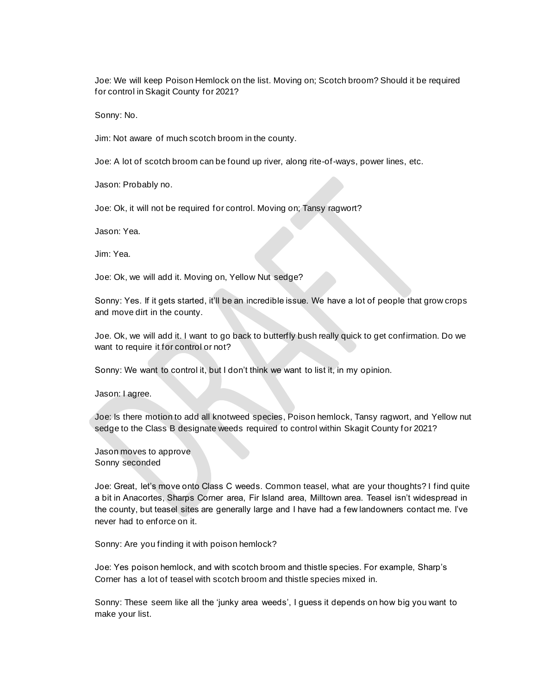Joe: We will keep Poison Hemlock on the list. Moving on; Scotch broom? Should it be required for control in Skagit County for 2021?

Sonny: No.

Jim: Not aware of much scotch broom in the county.

Joe: A lot of scotch broom can be found up river, along rite-of-ways, power lines, etc.

Jason: Probably no.

Joe: Ok, it will not be required for control. Moving on; Tansy ragwort?

Jason: Yea.

Jim: Yea.

Joe: Ok, we will add it. Moving on, Yellow Nut sedge?

Sonny: Yes. If it gets started, it'll be an incredible issue. We have a lot of people that grow crops and move dirt in the county.

Joe. Ok, we will add it. I want to go back to butterfly bush really quick to get confirmation. Do we want to require it for control or not?

Sonny: We want to control it, but I don't think we want to list it, in my opinion.

Jason: I agree.

Joe: Is there motion to add all knotweed species, Poison hemlock, Tansy ragwort, and Yellow nut sedge to the Class B designate weeds required to control within Skagit County for 2021?

Jason moves to approve Sonny seconded

Joe: Great, let's move onto Class C weeds. Common teasel, what are your thoughts? I find quite a bit in Anacortes, Sharps Corner area, Fir Island area, Milltown area. Teasel isn't widespread in the county, but teasel sites are generally large and I have had a few landowners contact me. I've never had to enforce on it.

Sonny: Are you finding it with poison hemlock?

Joe: Yes poison hemlock, and with scotch broom and thistle species. For example, Sharp's Corner has a lot of teasel with scotch broom and thistle species mixed in.

Sonny: These seem like all the 'junky area weeds', I guess it depends on how big you want to make your list.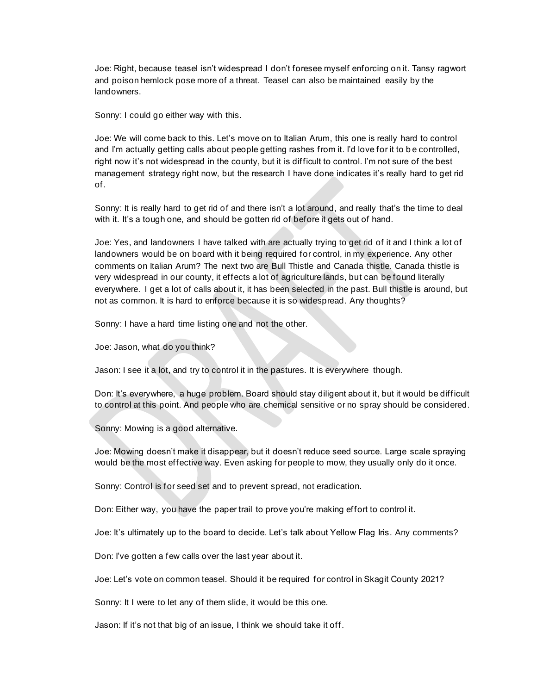Joe: Right, because teasel isn't widespread I don't foresee myself enforcing on it. Tansy ragwort and poison hemlock pose more of a threat. Teasel can also be maintained easily by the landowners.

Sonny: I could go either way with this.

Joe: We will come back to this. Let's move on to Italian Arum, this one is really hard to control and I'm actually getting calls about people getting rashes from it. I'd love for it to b e controlled, right now it's not widespread in the county, but it is difficult to control. I'm not sure of the best management strategy right now, but the research I have done indicates it's really hard to get rid of.

Sonny: It is really hard to get rid of and there isn't a lot around, and really that's the time to deal with it. It's a tough one, and should be gotten rid of before it gets out of hand.

Joe: Yes, and landowners I have talked with are actually trying to get rid of it and I think a lot of landowners would be on board with it being required for control, in my experience. Any other comments on Italian Arum? The next two are Bull Thistle and Canada thistle. Canada thistle is very widespread in our county, it effects a lot of agriculture lands, but can be found literally everywhere. I get a lot of calls about it, it has been selected in the past. Bull thistle is around, but not as common. It is hard to enforce because it is so widespread. Any thoughts?

Sonny: I have a hard time listing one and not the other.

Joe: Jason, what do you think?

Jason: I see it a lot, and try to control it in the pastures. It is everywhere though.

Don: It's everywhere, a huge problem. Board should stay diligent about it, but it would be difficult to control at this point. And people who are chemical sensitive or no spray should be considered.

Sonny: Mowing is a good alternative.

Joe: Mowing doesn't make it disappear, but it doesn't reduce seed source. Large scale spraying would be the most effective way. Even asking for people to mow, they usually only do it once.

Sonny: Control is for seed set and to prevent spread, not eradication.

Don: Either way, you have the paper trail to prove you're making effort to control it.

Joe: It's ultimately up to the board to decide. Let's talk about Yellow Flag Iris. Any comments?

Don: I've gotten a few calls over the last year about it.

Joe: Let's vote on common teasel. Should it be required for control in Skagit County 2021?

Sonny: It I were to let any of them slide, it would be this one.

Jason: If it's not that big of an issue, I think we should take it off.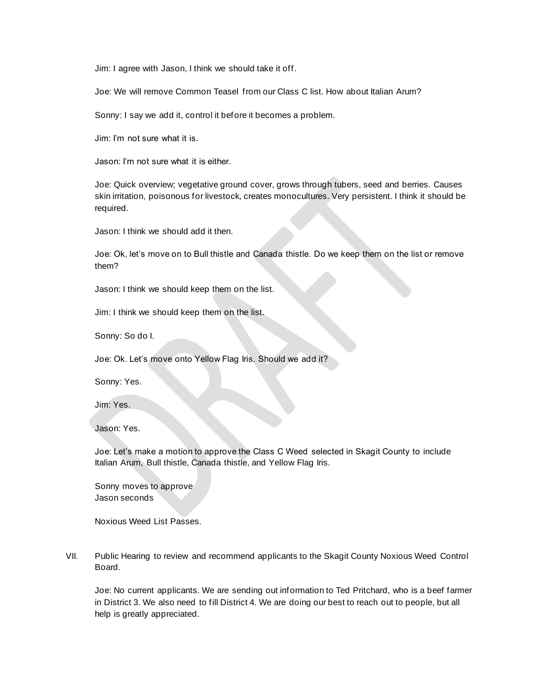Jim: I agree with Jason, I think we should take it off.

Joe: We will remove Common Teasel from our Class C list. How about Italian Arum?

Sonny: I say we add it, control it before it becomes a problem.

Jim: I'm not sure what it is.

Jason: I'm not sure what it is either.

Joe: Quick overview; vegetative ground cover, grows through tubers, seed and berries. Causes skin irritation, poisonous for livestock, creates monocultures. Very persistent. I think it should be required.

Jason: I think we should add it then.

Joe: Ok, let's move on to Bull thistle and Canada thistle. Do we keep them on the list or remove them?

Jason: I think we should keep them on the list.

Jim: I think we should keep them on the list.

Sonny: So do I.

Joe: Ok. Let's move onto Yellow Flag Iris. Should we add it?

Sonny: Yes.

Jim: Yes.

Jason: Yes.

Joe: Let's make a motion to approve the Class C Weed selected in Skagit County to include Italian Arum, Bull thistle, Canada thistle, and Yellow Flag Iris.

Sonny moves to approve Jason seconds

Noxious Weed List Passes.

VII. Public Hearing to review and recommend applicants to the Skagit County Noxious Weed Control Board.

Joe: No current applicants. We are sending out information to Ted Pritchard, who is a beef farmer in District 3. We also need to fill District 4. We are doing our best to reach out to people, but all help is greatly appreciated.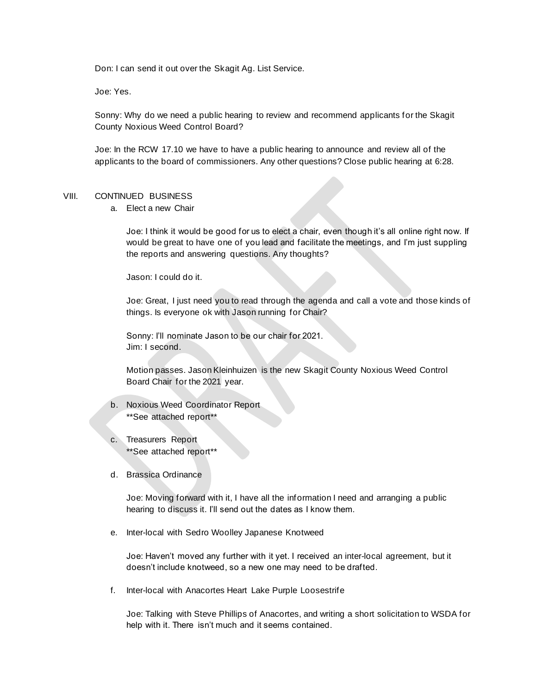Don: I can send it out over the Skagit Ag. List Service.

Joe: Yes.

Sonny: Why do we need a public hearing to review and recommend applicants for the Skagit County Noxious Weed Control Board?

Joe: In the RCW 17.10 we have to have a public hearing to announce and review all of the applicants to the board of commissioners. Any other questions? Close public hearing at 6:28.

#### VIII. CONTINUED BUSINESS

a. Elect a new Chair

Joe: I think it would be good for us to elect a chair, even though it's all online right now. If would be great to have one of you lead and facilitate the meetings, and I'm just suppling the reports and answering questions. Any thoughts?

Jason: I could do it.

Joe: Great, I just need you to read through the agenda and call a vote and those kinds of things. Is everyone ok with Jason running for Chair?

Sonny: I'll nominate Jason to be our chair for 2021. Jim: I second.

Motion passes. Jason Kleinhuizen is the new Skagit County Noxious Weed Control Board Chair for the 2021 year.

- b. Noxious Weed Coordinator Report \*\*See attached report\*\*
- c. Treasurers Report \*\*See attached report\*\*
- d. Brassica Ordinance

Joe: Moving forward with it, I have all the information I need and arranging a public hearing to discuss it. I'll send out the dates as I know them.

e. Inter-local with Sedro Woolley Japanese Knotweed

Joe: Haven't moved any further with it yet. I received an inter-local agreement, but it doesn't include knotweed, so a new one may need to be drafted.

f. Inter-local with Anacortes Heart Lake Purple Loosestrife

Joe: Talking with Steve Phillips of Anacortes, and writing a short solicitation to WSDA for help with it. There isn't much and it seems contained.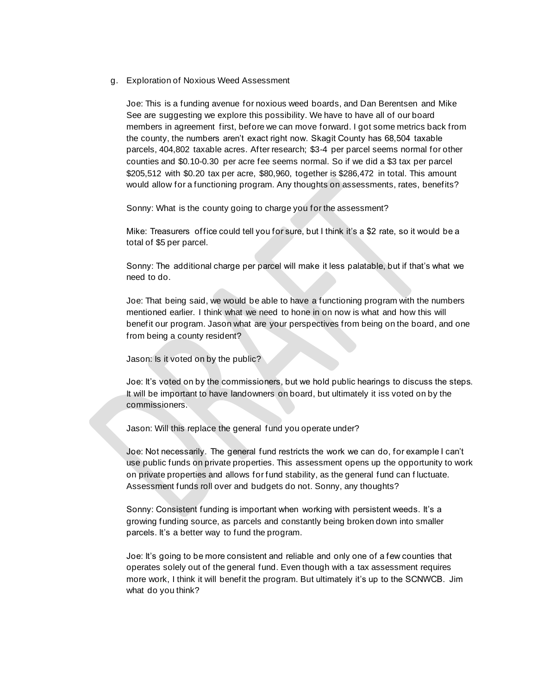#### g. Exploration of Noxious Weed Assessment

Joe: This is a funding avenue for noxious weed boards, and Dan Berentsen and Mike See are suggesting we explore this possibility. We have to have all of our board members in agreement first, before we can move forward. I got some metrics back from the county, the numbers aren't exact right now. Skagit County has 68,504 taxable parcels, 404,802 taxable acres. After research; \$3-4 per parcel seems normal for other counties and \$0.10-0.30 per acre fee seems normal. So if we did a \$3 tax per parcel \$205,512 with \$0.20 tax per acre, \$80,960, together is \$286,472 in total. This amount would allow for a functioning program. Any thoughts on assessments, rates, benefits?

Sonny: What is the county going to charge you for the assessment?

Mike: Treasurers office could tell you for sure, but I think it's a \$2 rate, so it would be a total of \$5 per parcel.

Sonny: The additional charge per parcel will make it less palatable, but if that's what we need to do.

Joe: That being said, we would be able to have a functioning program with the numbers mentioned earlier. I think what we need to hone in on now is what and how this will benefit our program. Jason what are your perspectives from being on the board, and one from being a county resident?

Jason: Is it voted on by the public?

Joe: It's voted on by the commissioners, but we hold public hearings to discuss the steps. It will be important to have landowners on board, but ultimately it iss voted on by the commissioners.

Jason: Will this replace the general fund you operate under?

Joe: Not necessarily. The general fund restricts the work we can do, for example I can't use public funds on private properties. This assessment opens up the opportunity to work on private properties and allows for fund stability, as the general fund can f luctuate. Assessment funds roll over and budgets do not. Sonny, any thoughts?

Sonny: Consistent funding is important when working with persistent weeds. It's a growing funding source, as parcels and constantly being broken down into smaller parcels. It's a better way to fund the program.

Joe: It's going to be more consistent and reliable and only one of a few counties that operates solely out of the general fund. Even though with a tax assessment requires more work, I think it will benefit the program. But ultimately it's up to the SCNWCB. Jim what do you think?